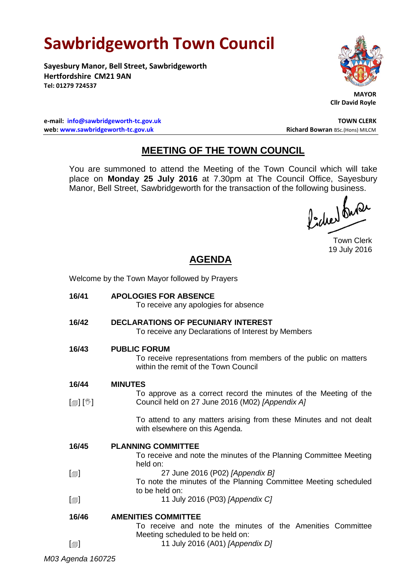## **Sawbridgeworth Town Council**

**Sayesbury Manor, Bell Street, Sawbridgeworth Hertfordshire CM21 9AN Tel: 01279 724537**



 **MAYOR Cllr David Royle**

**e-mail: [info@sawbridgeworth-tc.gov.uk](mailto:info@sawbridgeworth-tc.gov.uk) TOWN CLERK web: www.sawbridgeworth-tc.gov.uk and Bowran BSc.(Hons) MILCM Richard Bowran BSc.(Hons) MILCM** 

## **MEETING OF THE TOWN COUNCIL**

You are summoned to attend the Meeting of the Town Council which will take place on **Monday 25 July 2016** at 7.30pm at The Council Office, Sayesbury Manor, Bell Street, Sawbridgeworth for the transaction of the following business.

fidee buse

Town Clerk 19 July 2016

## **AGENDA**

Welcome by the Town Mayor followed by Prayers

| <b>APOLOGIES FOR ABSENCE</b><br>To receive any apologies for absence                                                            |
|---------------------------------------------------------------------------------------------------------------------------------|
| <b>DECLARATIONS OF PECUNIARY INTEREST</b><br>To receive any Declarations of Interest by Members                                 |
| <b>PUBLIC FORUM</b><br>To receive representations from members of the public on matters<br>within the remit of the Town Council |
| <b>MINUTES</b>                                                                                                                  |
| To approve as a correct record the minutes of the Meeting of the                                                                |
| Council held on 27 June 2016 (M02) [Appendix A]                                                                                 |
| To attend to any matters arising from these Minutes and not dealt<br>with elsewhere on this Agenda.                             |
| <b>PLANNING COMMITTEE</b><br>To receive and note the minutes of the Planning Committee Meeting<br>held on:                      |
| 27 June 2016 (P02) [Appendix B]<br>To note the minutes of the Planning Committee Meeting scheduled<br>to be held on:            |
| 11 July 2016 (P03) [Appendix C]                                                                                                 |
| <b>AMENITIES COMMITTEE</b><br>To receive and note the minutes of the Amenities Committee                                        |
| Meeting scheduled to be held on:<br>11 July 2016 (A01) [Appendix D]                                                             |
|                                                                                                                                 |

*M03 Agenda 160725*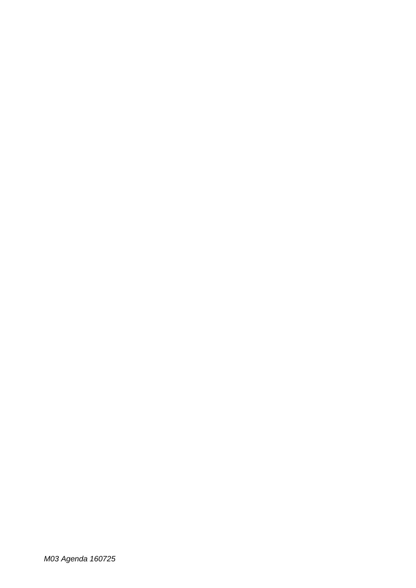*M03 Agenda 160725*